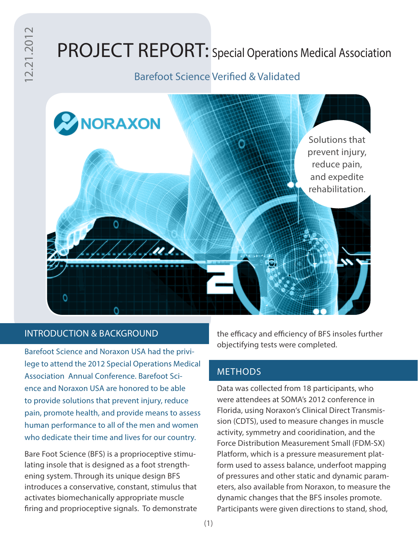# PROJECT REPORT: Special Operations Medical Association

## Barefoot Science Verified & Validated



#### INTRODUCTION & BACKGROUND

Barefoot Science and Noraxon USA had the privilege to attend the 2012 Special Operations Medical Association Annual Conference. Barefoot Science and Noraxon USA are honored to be able to provide solutions that prevent injury, reduce pain, promote health, and provide means to assess human performance to all of the men and women who dedicate their time and lives for our country.

Bare Foot Science (BFS) is a proprioceptive stimulating insole that is designed as a foot strengthening system. Through its unique design BFS introduces a conservative, constant, stimulus that activates biomechanically appropriate muscle firing and proprioceptive signals. To demonstrate the efficacy and efficiency of BFS insoles further objectifying tests were completed.

#### **METHODS**

Data was collected from 18 participants, who were attendees at SOMA's 2012 conference in Florida, using Noraxon's Clinical Direct Transmission (CDTS), used to measure changes in muscle activity, symmetry and cooridination, and the Force Distribution Measurement Small (FDM-SX) Platform, which is a pressure measurement platform used to assess balance, underfoot mapping of pressures and other static and dynamic parameters, also available from Noraxon, to measure the dynamic changes that the BFS insoles promote. Participants were given directions to stand, shod,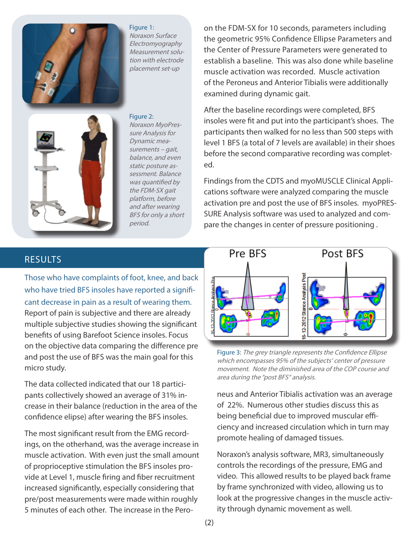



Noraxon Surface Electromyography Measurement solution with electrode placement set-up

Figure 2: Noraxon MyoPressure Analysis for Dynamic measurements – gait, balance, and even static posture assessment. Balance was quantified by the FDM-SX gait platform, before and after wearing BFS for only a short period.

on the FDM-SX for 10 seconds, parameters including the geometric 95% Confidence Ellipse Parameters and the Center of Pressure Parameters were generated to establish a baseline. This was also done while baseline muscle activation was recorded. Muscle activation of the Peroneus and Anterior Tibialis were additionally examined during dynamic gait.

After the baseline recordings were completed, BFS insoles were fit and put into the participant's shoes. The participants then walked for no less than 500 steps with level 1 BFS (a total of 7 levels are available) in their shoes before the second comparative recording was completed.

Findings from the CDTS and myoMUSCLE Clinical Applications software were analyzed comparing the muscle activation pre and post the use of BFS insoles. myoPRES-SURE Analysis software was used to analyzed and compare the changes in center of pressure positioning .

### RESULTS

Those who have complaints of foot, knee, and back who have tried BFS insoles have reported a significant decrease in pain as a result of wearing them. Report of pain is subjective and there are already multiple subjective studies showing the significant benefits of using Barefoot Science insoles. Focus on the objective data comparing the difference pre and post the use of BFS was the main goal for this micro study.

The data collected indicated that our 18 participants collectively showed an average of 31% increase in their balance (reduction in the area of the confidence elipse) after wearing the BFS insoles.

The most significant result from the EMG recordings, on the otherhand, was the average increase in muscle activation. With even just the small amount of proprioceptive stimulation the BFS insoles provide at Level 1, muscle firing and fiber recruitment increased significantly, especially considering that pre/post measurements were made within roughly 5 minutes of each other. The increase in the Pero-



Figure 3: The grey triangle represents the Confidence Ellipse which encompasses 95% of the subjects' center of pressure movement. Note the diminished area of the COP course and area during the "post BFS" analysis.

neus and Anterior Tibialis activation was an average of 22%. Numerous other studies discuss this as being beneficial due to improved muscular efficiency and increased circulation which in turn may promote healing of damaged tissues.

Noraxon's analysis software, MR3, simultaneously controls the recordings of the pressure, EMG and video. This allowed results to be played back frame by frame synchronized with video, allowing us to look at the progressive changes in the muscle activity through dynamic movement as well.